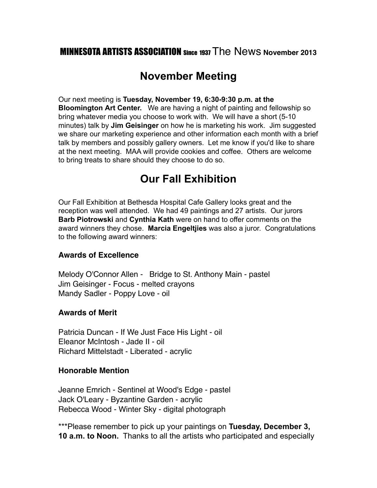### MINNESOTA ARTISTS ASSOCIATION Since 1937 The News **November 2013**

### **November Meeting**

Our next meeting is **Tuesday, November 19, 6:30-9:30 p.m. at the Bloomington Art Center.** We are having a night of painting and fellowship so bring whatever media you choose to work with. We will have a short (5-10 minutes) talk by **Jim Geisinger** on how he is marketing his work. Jim suggested we share our marketing experience and other information each month with a brief talk by members and possibly gallery owners. Let me know if you'd like to share at the next meeting. MAA will provide cookies and coffee. Others are welcome to bring treats to share should they choose to do so.

### **Our Fall Exhibition**

Our Fall Exhibition at Bethesda Hospital Cafe Gallery looks great and the reception was well attended. We had 49 paintings and 27 artists. Our jurors **Barb Piotrowski** and **Cynthia Kath** were on hand to offer comments on the award winners they chose. **Marcia Engeltjies** was also a juror. Congratulations to the following award winners:

#### **Awards of Excellence**

Melody O'Connor Allen - Bridge to St. Anthony Main - pastel Jim Geisinger - Focus - melted crayons Mandy Sadler - Poppy Love - oil

#### **Awards of Merit**

Patricia Duncan - If We Just Face His Light - oil Eleanor McIntosh - Jade II - oil Richard Mittelstadt - Liberated - acrylic

#### **Honorable Mention**

Jeanne Emrich - Sentinel at Wood's Edge - pastel Jack O'Leary - Byzantine Garden - acrylic Rebecca Wood - Winter Sky - digital photograph

\*\*\*Please remember to pick up your paintings on **Tuesday, December 3, 10 a.m. to Noon.** Thanks to all the artists who participated and especially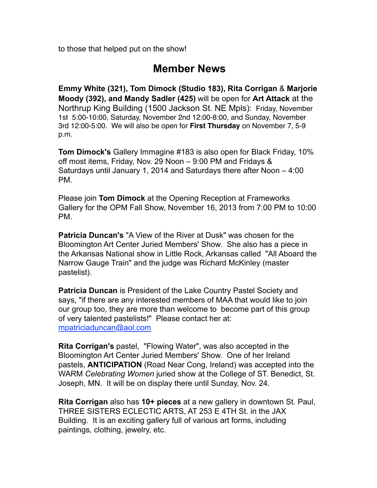to those that helped put on the show!

### **Member News**

**Emmy White (321), Tom Dimock (Studio 183), Rita Corrigan** & **Marjorie Moody (392), and Mandy Sadler (425)** will be open for **Art Attack** at the Northrup King Building (1500 Jackson St. NE Mpls): Friday, November 1st 5:00-10:00, Saturday, November 2nd 12:00-8:00, and Sunday, November 3rd 12:00-5:00. We will also be open for **First Thursday** on November 7, 5-9 p.m.

**Tom Dimock's** Gallery Immagine #183 is also open for Black Friday, 10% off most items, Friday, Nov. 29 Noon – 9:00 PM and Fridays & Saturdays until January 1, 2014 and Saturdays there after Noon – 4:00 PM.

Please join **Tom Dimock** at the Opening Reception at Frameworks Gallery for the OPM Fall Show, November 16, 2013 from 7:00 PM to 10:00 PM.

**Patricia Duncan's** "A View of the River at Dusk" was chosen for the Bloomington Art Center Juried Members' Show. She also has a piece in the Arkansas National show in Little Rock, Arkansas called "All Aboard the Narrow Gauge Train" and the judge was Richard McKinley (master pastelist).

**Patricia Duncan** is President of the Lake Country Pastel Society and says, "if there are any interested members of MAA that would like to join our group too, they are more than welcome to become part of this group of very talented pastelists!" Please contact her at: [mpatriciaduncan@aol.com](mailto:mpatriciaduncan@aol.com)

**Rita Corrigan's** pastel, "Flowing Water", was also accepted in the Bloomington Art Center Juried Members' Show. One of her Ireland pastels, **ANTICIPATION** (Road Near Cong, Ireland) was accepted into the WARM *Celebrating Women* juried show at the College of ST. Benedict, St. Joseph, MN. It will be on display there until Sunday, Nov. 24.

**Rita Corrigan** also has **10+ pieces** at a new gallery in downtown St. Paul, THREE SISTERS ECLECTIC ARTS, AT 253 E 4TH St. in the JAX Building. It is an exciting gallery full of various art forms, including paintings, clothing, jewelry, etc.